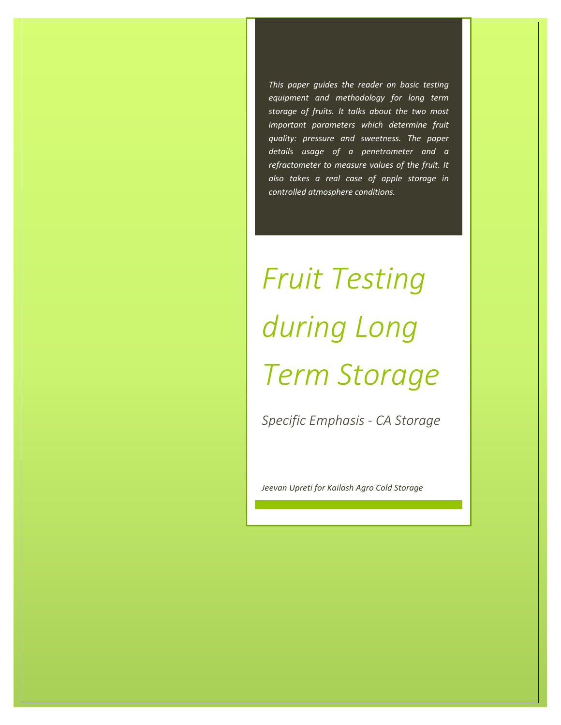*This paper guides the reader on basic testing equipment and methodology for long term storage of fruits. It talks about the two most important parameters which determine fruit quality: pressure and sweetness. The paper details usage of a penetrometer and a refractometer to measure values of the fruit. It also takes a real case of apple storage in controlled atmosphere conditions.*

# *Fruit Testing during Long Term Storage*

*Specific Emphasis - CA Storage*

*Jeevan Upreti for Kailash Agro Cold Storage*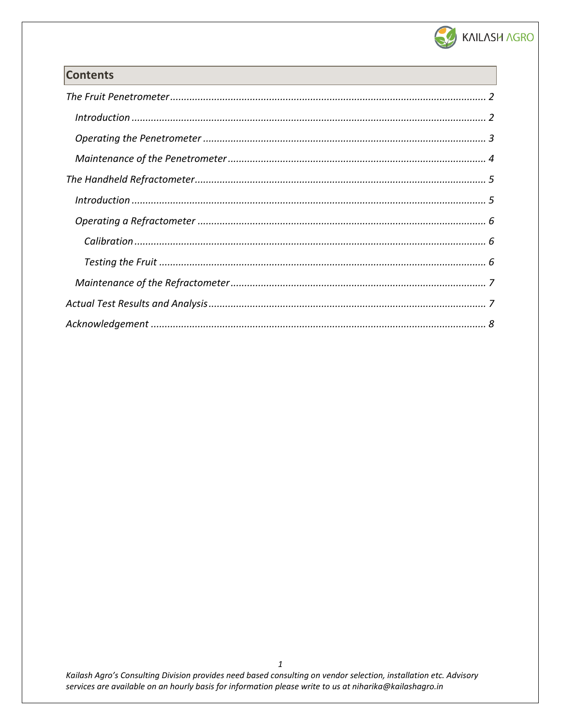

# **Contents**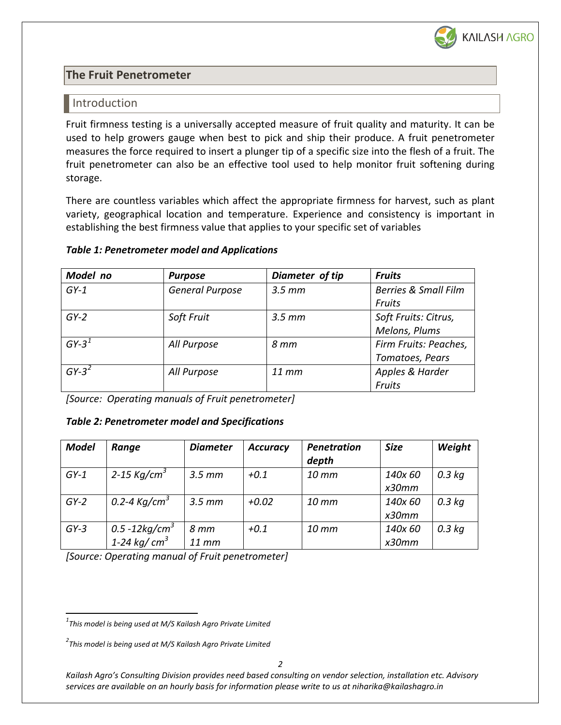

# <span id="page-2-0"></span>**The Fruit Penetrometer**

#### <span id="page-2-1"></span>Introduction

Fruit firmness testing is a universally accepted measure of fruit quality and maturity. It can be used to help growers gauge when best to pick and ship their produce. A fruit penetrometer measures the force required to insert a plunger tip of a specific size into the flesh of a fruit. The fruit penetrometer can also be an effective tool used to help monitor fruit softening during storage.

There are countless variables which affect the appropriate firmness for harvest, such as plant variety, geographical location and temperature. Experience and consistency is important in establishing the best firmness value that applies to your specific set of variables

#### *Table 1: Penetrometer model and Applications*

| Model no | <b>Purpose</b>         | Diameter of tip    | <b>Fruits</b>                   |
|----------|------------------------|--------------------|---------------------------------|
| $GY-1$   | <b>General Purpose</b> | $3.5 \, \text{mm}$ | <b>Berries &amp; Small Film</b> |
|          |                        |                    | Fruits                          |
| $GY-2$   | Soft Fruit             | $3.5 \, \text{mm}$ | Soft Fruits: Citrus,            |
|          |                        |                    | Melons, Plums                   |
| $GY-3^1$ | All Purpose            | 8 mm               | Firm Fruits: Peaches,           |
|          |                        |                    | Tomatoes, Pears                 |
| $GY-3^2$ | All Purpose            | $11$ mm            | Apples & Harder                 |
|          |                        |                    | Fruits                          |

*[Source: Operating manuals of Fruit penetrometer]*

#### *Table 2: Penetrometer model and Specifications*

| <b>Model</b> | Range                     | <b>Diameter</b>    | <b>Accuracy</b> | Penetration       | <b>Size</b> | Weight   |
|--------------|---------------------------|--------------------|-----------------|-------------------|-------------|----------|
|              |                           |                    |                 | depth             |             |          |
| $GY-1$       | 2-15 Kg/cm <sup>3</sup>   | $3.5 \, \text{mm}$ | $+0.1$          | $10$ mm           | 140x 60     | $0.3$ kg |
|              |                           |                    |                 |                   | x30mm       |          |
| $GY-2$       | 0.2-4 К $g/cm^3$          | $3.5 \, \text{mm}$ | $+0.02$         | $10$ mm           | 140x 60     | $0.3$ kg |
|              |                           |                    |                 |                   | x30mm       |          |
| $GY-3$       | 0.5 -12kg/cm <sup>3</sup> | 8 mm               | $+0.1$          | $10 \, \text{mm}$ | 140x 60     | $0.3$ kg |
|              | 1-24 kg/ $cm3$            | 11 mm              |                 |                   | x30mm       |          |

*[Source: Operating manual of Fruit penetrometer]*

 *<sup>1</sup> This model is being used at M/S Kailash Agro Private Limited*

*<sup>2</sup> This model is being used at M/S Kailash Agro Private Limited*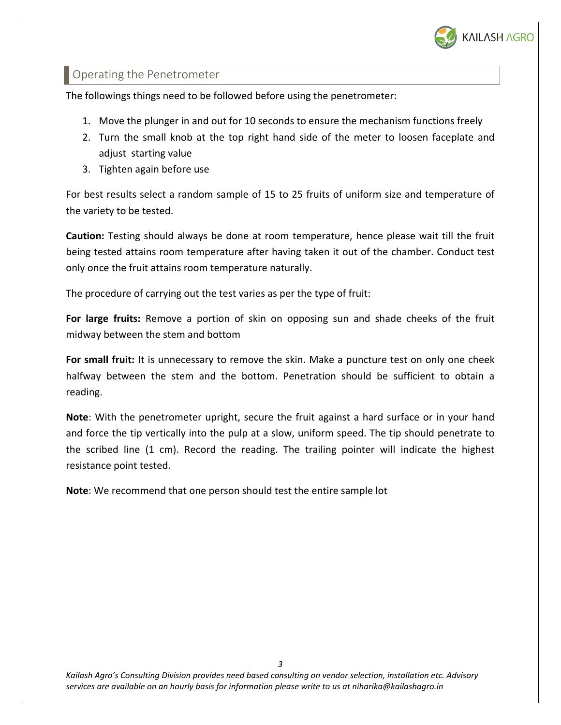

# <span id="page-3-0"></span>Operating the Penetrometer

The followings things need to be followed before using the penetrometer:

- 1. Move the plunger in and out for 10 seconds to ensure the mechanism functions freely
- 2. Turn the small knob at the top right hand side of the meter to loosen faceplate and adjust starting value
- 3. Tighten again before use

For best results select a random sample of 15 to 25 fruits of uniform size and temperature of the variety to be tested.

**Caution:** Testing should always be done at room temperature, hence please wait till the fruit being tested attains room temperature after having taken it out of the chamber. Conduct test only once the fruit attains room temperature naturally.

The procedure of carrying out the test varies as per the type of fruit:

**For large fruits:** Remove a portion of skin on opposing sun and shade cheeks of the fruit midway between the stem and bottom

**For small fruit:** It is unnecessary to remove the skin. Make a puncture test on only one cheek halfway between the stem and the bottom. Penetration should be sufficient to obtain a reading.

**Note**: With the penetrometer upright, secure the fruit against a hard surface or in your hand and force the tip vertically into the pulp at a slow, uniform speed. The tip should penetrate to the scribed line (1 cm). Record the reading. The trailing pointer will indicate the highest resistance point tested.

**Note**: We recommend that one person should test the entire sample lot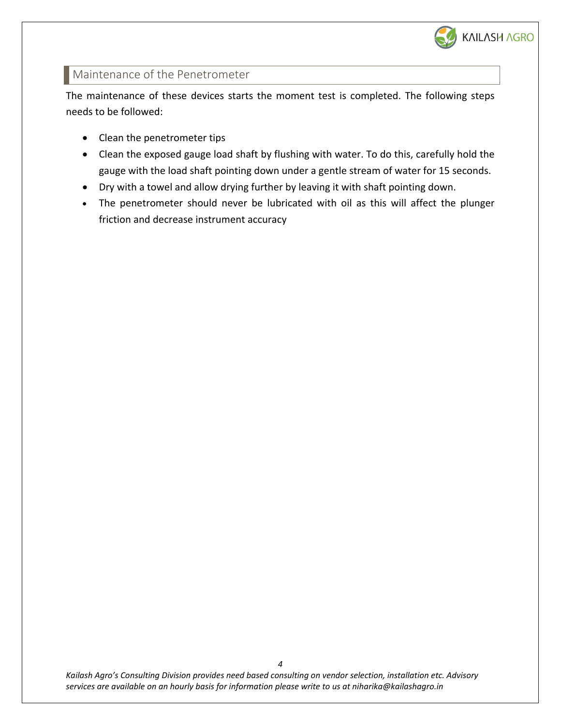

# <span id="page-4-0"></span>Maintenance of the Penetrometer

The maintenance of these devices starts the moment test is completed. The following steps needs to be followed:

- Clean the penetrometer tips
- Clean the exposed gauge load shaft by flushing with water. To do this, carefully hold the gauge with the load shaft pointing down under a gentle stream of water for 15 seconds.
- Dry with a towel and allow drying further by leaving it with shaft pointing down.
- The penetrometer should never be lubricated with oil as this will affect the plunger friction and decrease instrument accuracy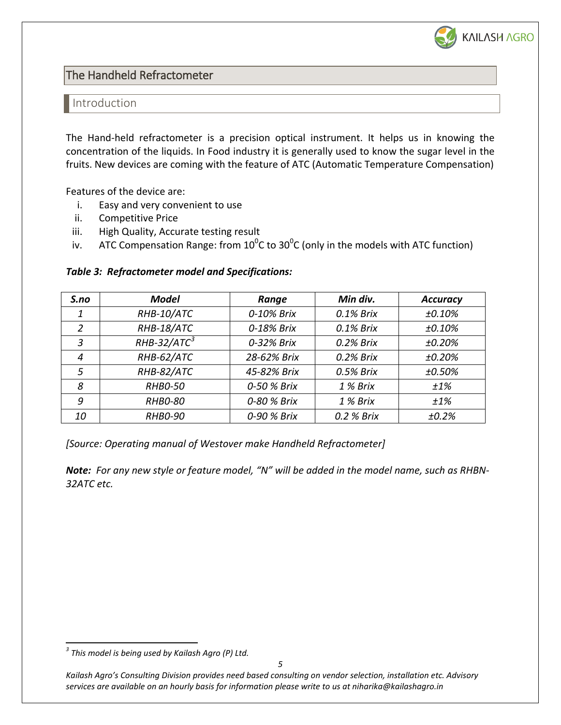

<span id="page-5-0"></span>The Handheld Refractometer

#### <span id="page-5-1"></span>Introduction

The Hand-held refractometer is a precision optical instrument. It helps us in knowing the concentration of the liquids. In Food industry it is generally used to know the sugar level in the fruits. New devices are coming with the feature of ATC (Automatic Temperature Compensation)

Features of the device are:

- i. Easy and very convenient to use
- ii. Competitive Price
- iii. High Quality, Accurate testing result
- iv. ATC Compensation Range: from  $10^0$ C to  $30^0$ C (only in the models with ATC function)

#### *Table 3: Refractometer model and Specifications:*

| S.no | <b>Model</b>   | Range       | Min div.   | <b>Accuracy</b> |
|------|----------------|-------------|------------|-----------------|
| 1    | RHB-10/ATC     | 0-10% Brix  | 0.1% Brix  | ±0.10%          |
| 2    | RHB-18/ATC     | 0-18% Brix  | 0.1% Brix  | ±0.10%          |
| 3    | $RHB-32/ATC3$  | 0-32% Brix  | 0.2% Brix  | ±0.20%          |
| 4    | RHB-62/ATC     | 28-62% Brix | 0.2% Brix  | ±0.20%          |
| 5    | RHB-82/ATC     | 45-82% Brix | 0.5% Brix  | ±0.50%          |
| 8    | <b>RHBO-50</b> | 0-50 % Brix | 1 % Brix   | ±1%             |
| 9    | <b>RHBO-80</b> | 0-80 % Brix | 1 % Brix   | ±1%             |
| 10   | <b>RHBO-90</b> | 0-90 % Brix | 0.2 % Brix | ±0.2%           |

*[Source: Operating manual of Westover make Handheld Refractometer]*

*Note: For any new style or feature model, "N" will be added in the model name, such as RHBN-32ATC etc.*

 *<sup>3</sup> This model is being used by Kailash Agro (P) Ltd.*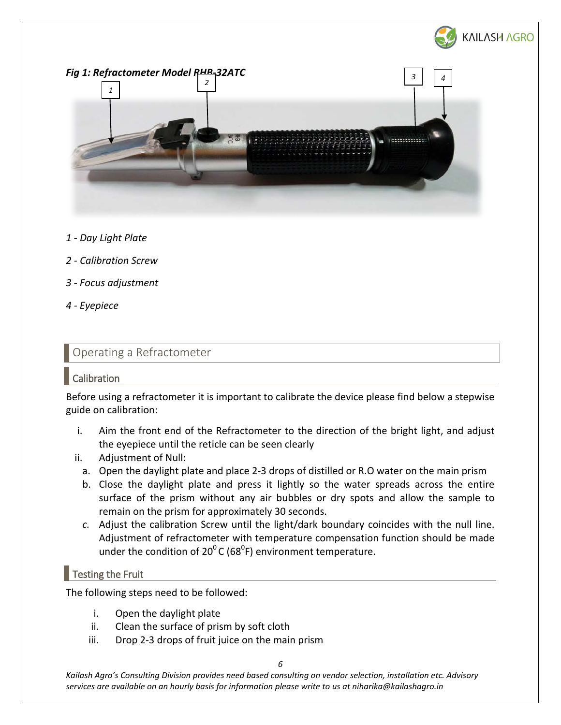

*Fig 1: Refractometer Model RHB-32ATC 3 42 1* **NESSESSISSION** 

- *1 - Day Light Plate*
- *2 - Calibration Screw*
- *3 - Focus adjustment*
- *4 - Eyepiece*

# <span id="page-6-0"></span>Operating a Refractometer

# <span id="page-6-1"></span>Calibration

Before using a refractometer it is important to calibrate the device please find below a stepwise guide on calibration:

- i. Aim the front end of the Refractometer to the direction of the bright light, and adjust the eyepiece until the reticle can be seen clearly
- ii. Adjustment of Null:
	- a. Open the daylight plate and place 2-3 drops of distilled or R.O water on the main prism
	- b. Close the daylight plate and press it lightly so the water spreads across the entire surface of the prism without any air bubbles or dry spots and allow the sample to remain on the prism for approximately 30 seconds.
	- *c.* Adjust the calibration Screw until the light/dark boundary coincides with the null line. Adjustment of refractometer with temperature compensation function should be made under the condition of 20<sup>0</sup> C (68<sup>0</sup>F) environment temperature.

# <span id="page-6-2"></span> $\blacksquare$  Testing the Fruit

The following steps need to be followed:

- i. Open the daylight plate
- ii. Clean the surface of prism by soft cloth
- iii. Drop 2-3 drops of fruit juice on the main prism

*6*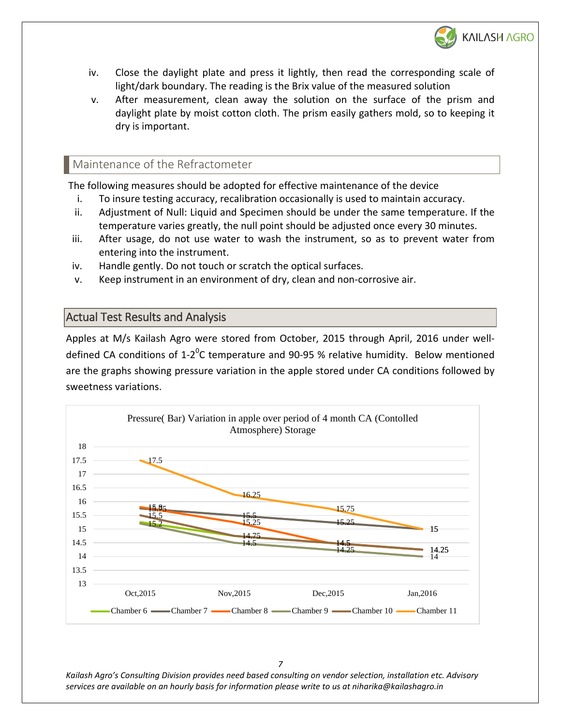

- iv. Close the daylight plate and press it lightly, then read the corresponding scale of light/dark boundary. The reading is the Brix value of the measured solution
- v. After measurement, clean away the solution on the surface of the prism and daylight plate by moist cotton cloth. The prism easily gathers mold, so to keeping it dry is important.

# <span id="page-7-0"></span>Maintenance of the Refractometer

The following measures should be adopted for effective maintenance of the device

- i. To insure testing accuracy, recalibration occasionally is used to maintain accuracy.
- ii. Adjustment of Null: Liquid and Specimen should be under the same temperature. If the temperature varies greatly, the null point should be adjusted once every 30 minutes.
- iii. After usage, do not use water to wash the instrument, so as to prevent water from entering into the instrument.
- iv. Handle gently. Do not touch or scratch the optical surfaces.
- v. Keep instrument in an environment of dry, clean and non-corrosive air.

# <span id="page-7-1"></span>Actual Test Results and Analysis

Apples at M/s Kailash Agro were stored from October, 2015 through April, 2016 under welldefined CA conditions of 1-2<sup>0</sup>C temperature and 90-95 % relative humidity. Below mentioned are the graphs showing pressure variation in the apple stored under CA conditions followed by sweetness variations.



*7*